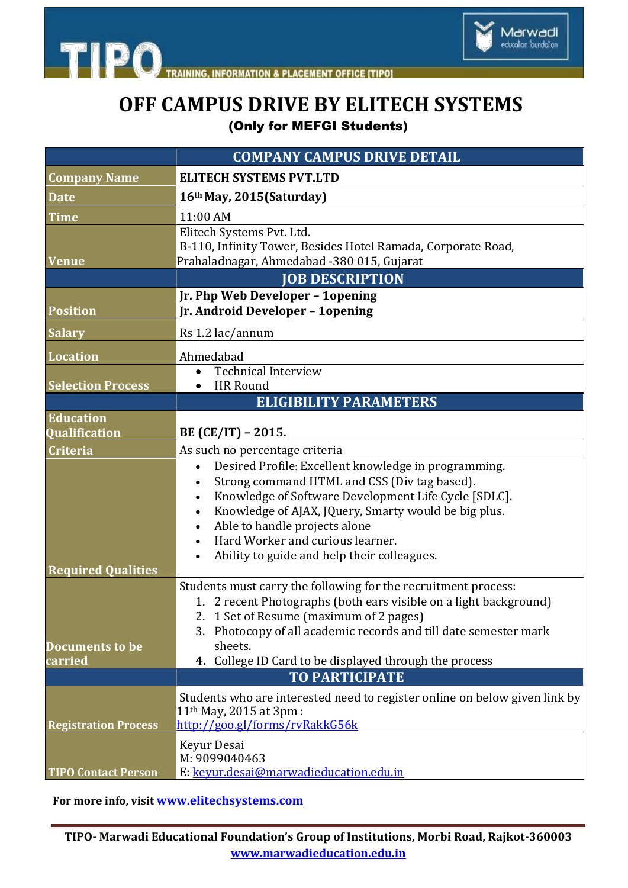

**INFORMATION & PLACEMENT OFFICE [TIPO]** 

**TIPO** 

## **OFF CAMPUS DRIVE BY ELITECH SYSTEMS** (Only for MEFGI Students)

|                                   | <b>COMPANY CAMPUS DRIVE DETAIL</b>                                                                                                                                                                                                                                                                                                                                                           |
|-----------------------------------|----------------------------------------------------------------------------------------------------------------------------------------------------------------------------------------------------------------------------------------------------------------------------------------------------------------------------------------------------------------------------------------------|
| <b>Company Name</b>               | <b>ELITECH SYSTEMS PVT.LTD</b>                                                                                                                                                                                                                                                                                                                                                               |
| <b>Date</b>                       | 16th May, 2015(Saturday)                                                                                                                                                                                                                                                                                                                                                                     |
| <b>Time</b>                       | 11:00 AM                                                                                                                                                                                                                                                                                                                                                                                     |
| <b>Venue</b>                      | Elitech Systems Pvt. Ltd.<br>B-110, Infinity Tower, Besides Hotel Ramada, Corporate Road,<br>Prahaladnagar, Ahmedabad -380 015, Gujarat                                                                                                                                                                                                                                                      |
|                                   | <b>JOB DESCRIPTION</b>                                                                                                                                                                                                                                                                                                                                                                       |
| <b>Position</b>                   | Jr. Php Web Developer - 1opening<br>Jr. Android Developer - 1opening                                                                                                                                                                                                                                                                                                                         |
| <b>Salary</b>                     | Rs 1.2 lac/annum                                                                                                                                                                                                                                                                                                                                                                             |
| <b>Location</b>                   | Ahmedabad                                                                                                                                                                                                                                                                                                                                                                                    |
|                                   | <b>Technical Interview</b><br>$\bullet$<br><b>HR Round</b>                                                                                                                                                                                                                                                                                                                                   |
| <b>Selection Process</b>          | <b>ELIGIBILITY PARAMETERS</b>                                                                                                                                                                                                                                                                                                                                                                |
| <b>Education</b><br>Qualification | BE (CE/IT) – 2015.                                                                                                                                                                                                                                                                                                                                                                           |
| <b>Criteria</b>                   | As such no percentage criteria                                                                                                                                                                                                                                                                                                                                                               |
| <b>Required Qualities</b>         | Desired Profile: Excellent knowledge in programming.<br>$\bullet$<br>Strong command HTML and CSS (Div tag based).<br>Knowledge of Software Development Life Cycle [SDLC].<br>$\bullet$<br>Knowledge of AJAX, JQuery, Smarty would be big plus.<br>$\bullet$<br>Able to handle projects alone<br>$\bullet$<br>Hard Worker and curious learner.<br>Ability to guide and help their colleagues. |
| <b>Documents to be</b><br>carried | Students must carry the following for the recruitment process:<br>1. 2 recent Photographs (both ears visible on a light background)<br>2. 1 Set of Resume (maximum of 2 pages)<br>3. Photocopy of all academic records and till date semester mark<br>sheets.<br>4. College ID Card to be displayed through the process<br><b>TO PARTICIPATE</b>                                             |
| <b>Registration Process</b>       | Students who are interested need to register online on below given link by<br>11 <sup>th</sup> May, 2015 at 3pm :<br>http://goo.gl/forms/rvRakkG56k                                                                                                                                                                                                                                          |
| <b>TIPO Contact Person</b>        | Keyur Desai<br>M: 9099040463<br>E: keyur.desai@marwadieducation.edu.in                                                                                                                                                                                                                                                                                                                       |

**For more info, visit [www.elitechsystems.com](file:///C:\Users\Administrator\Desktop\www.elitechsystems.com)**

**TIPO- Marwadi Educational Foundation's Group of Institutions, Morbi Road, Rajkot-360003 www.marwadieducation.edu.in**